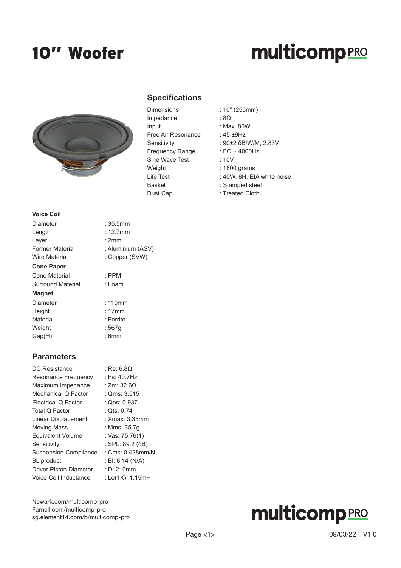## **multicomp**PRO



#### **Specifications**

| Dimensions         |
|--------------------|
| Impedance          |
| Input              |
| Free Air Resonance |
| Sensitivity        |
| Frequency Range    |
| Sine Wave Test     |
| Weight             |
| Life Test          |
| Basket             |
| Dust Cap           |

- Dimensions : 10″ (256mm)
	- $\cdot$  8Ω
	- : Max. 80W
	- :  $45 + 9$ Hz
	- : 90±2 δB/W/M, 2.83V
	- : FO  $\sim$  4000Hz
	- $: 10V$
	- $: 1800$  grams
	- : 40W, 8H, EIA white noise
	- : Stamped steel
	- : Treated Cloth

| <b>Voice Coil</b>    |                   |
|----------------------|-------------------|
| Diameter             | : 35.5mm          |
| Length               | $: 12.7$ mm       |
| Layer                | : 2mm             |
| Former Material      | : Aluminium (ASV) |
| <b>Wire Material</b> | : Copper (SVW)    |
| <b>Cone Paper</b>    |                   |
| Cone Material        | $:$ PPM           |
| Surround Material    | : Foam            |
| <b>Magnet</b>        |                   |
| Diameter             | : 110mm           |
| Height               | :17mm             |
| Material             | : Ferrite         |
| Weight               | : 567q            |
| Gap(H)               | : 6mm             |

#### **Parameters**

| DC Resistance                 | : Re: 6.80         |
|-------------------------------|--------------------|
| Resonance Frequency           | : Fs: $40.7Hz$     |
| Maximum Impedance             | : Zm: $32.6\Omega$ |
| Mechanical Q Factor           | : $Qms: 3.515$     |
| Electrical Q Factor           | : $Qes: 0.937$     |
| Total Q Factor                | : Ots: $0.74$      |
| Linear Displacement           | : Xmax: 3.35mm     |
| <b>Moving Mass</b>            | : Mms: 35.7q       |
| <b>Equivalent Volume</b>      | : Vas: 75.76(1)    |
| Sensitivity                   | : SPL: 89.2 (δB)   |
| <b>Suspension Compliance</b>  | : Cms: 0.428mm/N   |
| <b>BL</b> product             | : BI: 8.14 (N/A)   |
| <b>Driver Piston Diameter</b> | : D: 210 $mm$      |
| Voice Coil Inductance         | : Le(1K): 1.15mH   |
|                               |                    |

[Newark.com/multicomp-](https://www.newark.com/multicomp-pro)pro [Farnell.com/multicomp](https://www.farnell.com/multicomp-pro)-pro [sg.element14.com/b/multicomp-pro](https://sg.element14.com/b/multicomp-pro)

# **multicomp**PRO